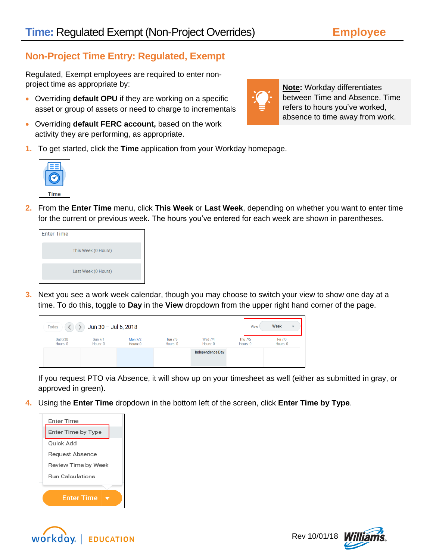## **Non-Project Time Entry: Regulated, Exempt**

Regulated, Exempt employees are required to enter nonproject time as appropriate by:

- Overriding **default OPU** if they are working on a specific asset or group of assets or need to charge to incrementals
- Overriding **default FERC account,** based on the work activity they are performing, as appropriate.
- **1.** To get started, click the **Time** application from your Workday homepage.
- **2.** From the **Enter Time** menu, click **This Week** or **Last Week**, depending on whether you want to enter time for the current or previous week. The hours you've entered for each week are shown in parentheses.

**3.** Next you see a work week calendar, though you may choose to switch your view to show one day at a time. To do this, toggle to **Day** in the **View** dropdown from the upper right hand corner of the page.

| Today                | Jun 30 - Jul 6, 2018       |                            |                            |                            | View                       | Week<br>$\mathbf{v}$ |
|----------------------|----------------------------|----------------------------|----------------------------|----------------------------|----------------------------|----------------------|
| Sat 6/30<br>Hours: 0 | <b>Sun 7/1</b><br>Hours: 0 | <b>Mon 7/2</b><br>Hours: 0 | <b>Tue 7/3</b><br>Hours: 0 | <b>Wed 7/4</b><br>Hours: 0 | <b>Thu 7/5</b><br>Hours: 0 | Fri 7/6<br>Hours: 0  |
|                      |                            |                            |                            | <b>Independence Day</b>    |                            |                      |

If you request PTO via Absence, it will show up on your timesheet as well (either as submitted in gray, or approved in green).

**4.** Using the **Enter Time** dropdown in the bottom left of the screen, click **Enter Time by Type**.



WOrkday. | EDUCATION







**Note:** Workday differentiates between Time and Absence. Time refers to hours you've worked, absence to time away from work.

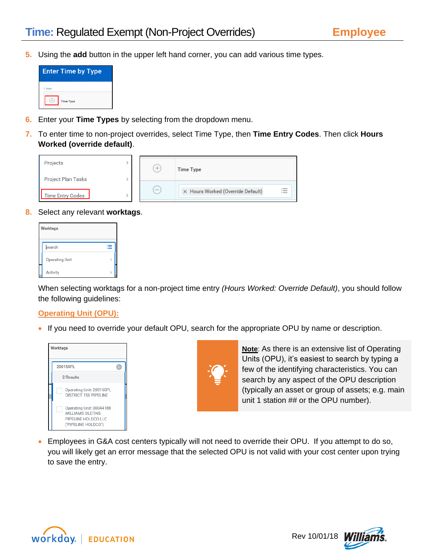**5.** Using the **add** button in the upper left hand corner, you can add various time types.



- **6.** Enter your **Time Types** by selecting from the dropdown menu.
- **7.** To enter time to non-project overrides, select Time Type, then **Time Entry Codes**. Then click **Hours Worked (override default)**.

| Projects                               | $^{+}$                   | <b>Time Type</b>                       |
|----------------------------------------|--------------------------|----------------------------------------|
| Project Plan Tasks<br>Time Entry Codes | $\overline{\phantom{a}}$ | ≔<br>X Hours Worked (Override Default) |

**8.** Select any relevant **worktags**.

| Worktags       |   |
|----------------|---|
| search         | ⋿ |
| Operating Unit |   |
| Activity       |   |

When selecting worktags for a non-project time entry *(Hours Worked: Override Default)*, you should follow the following guidelines:

## **Operating Unit (OPU):**

• If you need to override your default OPU, search for the appropriate OPU by name or description.





**Note**: As there is an extensive list of Operating Units (OPU), it's easiest to search by typing a few of the identifying characteristics. You can search by any aspect of the OPU description (typically an asset or group of assets; e.g. main unit 1 station ## or the OPU number).

 Employees in G&A cost centers typically will not need to override their OPU. If you attempt to do so, you will likely get an error message that the selected OPU is not valid with your cost center upon trying to save the entry.



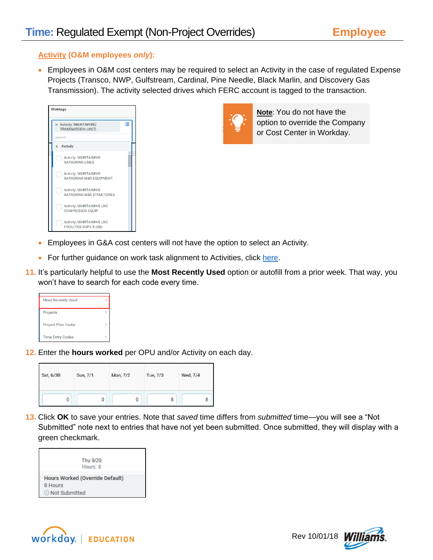## **Activity (O&M employees** *only***):**

 Employees in O&M cost centers may be required to select an Activity in the case of regulated Expense Projects (Transco, NWP, Gulfstream, Cardinal, Pine Needle, Black Marlin, and Discovery Gas Transmission). The activity selected drives which FERC account is tagged to the transaction.

| <b>Worktags</b>                                      |                                                               |   |
|------------------------------------------------------|---------------------------------------------------------------|---|
| X Activity: MAINTAINING<br><b>TRANSMISSION LINES</b> |                                                               | ≔ |
| search                                               |                                                               |   |
| $\leftarrow$ Activity                                |                                                               |   |
| <b>GATHERING LINES</b>                               | Activity: MAINTAINING                                         |   |
|                                                      | Activity: MAINTAINING<br>GATHERING M&R EOUIPMENT              |   |
|                                                      | Activity: MAINTAINING<br><b>GATHERING M&amp;R STRUCTURES</b>  |   |
|                                                      | Activity: MAINTAINING LNG<br>COMPRESSOR EQUIP                 |   |
|                                                      | Activity: MAINTAINING LNG<br><b>FACILITIES SUPV &amp; ENG</b> |   |



**Note**: You do not have the option to override the Company or Cost Center in Workday.

- Employees in G&A cost centers will not have the option to select an Activity.
- For further guidance on work task alignment to Activities, click [here.](http://my.williams.com/depts/enterprise/ent_accounting/Pages/Account-Coding.aspx)
- **11.** It's particularly helpful to use the **Most Recently Used** option or autofill from a prior week. That way, you won't have to search for each code every time.

| <b>Most Recently Used</b> |  |
|---------------------------|--|
| Projects                  |  |
| Project Plan Tasks        |  |
| <b>Time Entry Codes</b>   |  |

**12.** Enter the **hours worked** per OPU and/or Activity on each day.

| Sat, 6/30 | Sun, 7/1 | Mon, 7/2 | Tue, 7/3 | Wed, 7/4 |
|-----------|----------|----------|----------|----------|
| 0         |          | 0        | 8        | ŏ        |

**13.** Click **OK** to save your entries. Note that *saved* time differs from *submitted* time—you will see a "Not Submitted" note next to entries that have not yet been submitted. Once submitted, they will display with a green checkmark.

| Thu 9/20<br>Hours: 8                   |
|----------------------------------------|
| <b>Hours Worked (Override Default)</b> |
| 8 Hours                                |
| <b><i>A</i></b> Not Submitted          |

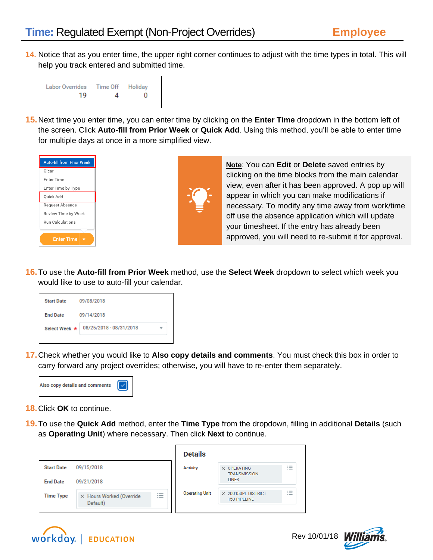**14.** Notice that as you enter time, the upper right corner continues to adjust with the time types in total. This will help you track entered and submitted time.



**15.**Next time you enter time, you can enter time by clicking on the **Enter Time** dropdown in the bottom left of the screen. Click **Auto-fill from Prior Week** or **Quick Add**. Using this method, you'll be able to enter time for multiple days at once in a more simplified view.

| <b>Auto-fill from Prior Week</b> |  |  |  |  |  |
|----------------------------------|--|--|--|--|--|
| Clear                            |  |  |  |  |  |
| <b>Enter Time</b>                |  |  |  |  |  |
| Enter Time by Type               |  |  |  |  |  |
| Ouick Add                        |  |  |  |  |  |
| Request Absence                  |  |  |  |  |  |
| Review Time by Week              |  |  |  |  |  |
| <b>Run Calculations</b>          |  |  |  |  |  |
|                                  |  |  |  |  |  |
| <b>Enter Time</b>                |  |  |  |  |  |



**Note**: You can **Edit** or **Delete** saved entries by clicking on the time blocks from the main calendar view, even after it has been approved. A pop up will appear in which you can make modifications if necessary. To modify any time away from work/time off use the absence application which will update your timesheet. If the entry has already been approved, you will need to re-submit it for approval.

**16.**To use the **Auto-fill from Prior Week** method, use the **Select Week** dropdown to select which week you would like to use to auto-fill your calendar.



**17.**Check whether you would like to **Also copy details and comments**. You must check this box in order to carry forward any project overrides; otherwise, you will have to re-enter them separately.



- **18.**Click **OK** to continue.
- **19.**To use the **Quick Add** method, enter the **Time Type** from the dropdown, filling in additional **Details** (such as **Operating Unit**) where necessary. Then click **Next** to continue.

|                   |                                      |                                  | <b>Details</b>        |                                                   |                                              |
|-------------------|--------------------------------------|----------------------------------|-----------------------|---------------------------------------------------|----------------------------------------------|
| <b>Start Date</b> | 09/15/2018                           |                                  | <b>Activity</b>       | $\times$ OPERATING<br><b>TRANSMISSION</b>         | $\overline{\phantom{a}}$<br>$\sim$<br>$\sim$ |
| <b>End Date</b>   | 09/21/2018                           |                                  |                       | <b>LINES</b>                                      |                                              |
| <b>Time Type</b>  | X Hours Worked (Override<br>Default) | $:=$<br>$\overline{\phantom{a}}$ | <b>Operating Unit</b> | $\times$ 200150PL DISTRICT<br><b>150 PIPELINE</b> | $\overline{\phantom{a}}$<br>$\sim$<br>$-$    |